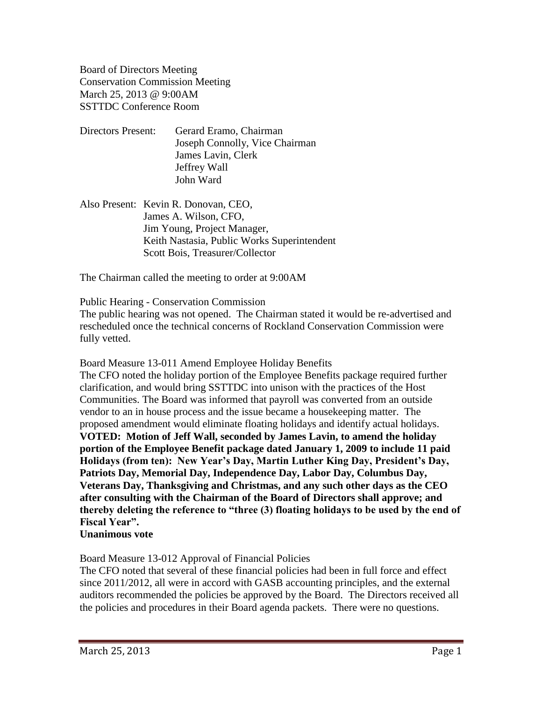Board of Directors Meeting Conservation Commission Meeting March 25, 2013 @ 9:00AM SSTTDC Conference Room

- Directors Present: Gerard Eramo, Chairman Joseph Connolly, Vice Chairman James Lavin, Clerk Jeffrey Wall John Ward
- Also Present: Kevin R. Donovan, CEO, James A. Wilson, CFO, Jim Young, Project Manager, Keith Nastasia, Public Works Superintendent Scott Bois, Treasurer/Collector

The Chairman called the meeting to order at 9:00AM

Public Hearing - Conservation Commission

The public hearing was not opened. The Chairman stated it would be re-advertised and rescheduled once the technical concerns of Rockland Conservation Commission were fully vetted.

Board Measure 13-011 Amend Employee Holiday Benefits

The CFO noted the holiday portion of the Employee Benefits package required further clarification, and would bring SSTTDC into unison with the practices of the Host Communities. The Board was informed that payroll was converted from an outside vendor to an in house process and the issue became a housekeeping matter. The proposed amendment would eliminate floating holidays and identify actual holidays. **VOTED: Motion of Jeff Wall, seconded by James Lavin, to amend the holiday portion of the Employee Benefit package dated January 1, 2009 to include 11 paid Holidays (from ten): New Year's Day, Martin Luther King Day, President's Day, Patriots Day, Memorial Day, Independence Day, Labor Day, Columbus Day, Veterans Day, Thanksgiving and Christmas, and any such other days as the CEO after consulting with the Chairman of the Board of Directors shall approve; and thereby deleting the reference to "three (3) floating holidays to be used by the end of Fiscal Year".**

**Unanimous vote**

Board Measure 13-012 Approval of Financial Policies

The CFO noted that several of these financial policies had been in full force and effect since 2011/2012, all were in accord with GASB accounting principles, and the external auditors recommended the policies be approved by the Board. The Directors received all the policies and procedures in their Board agenda packets. There were no questions.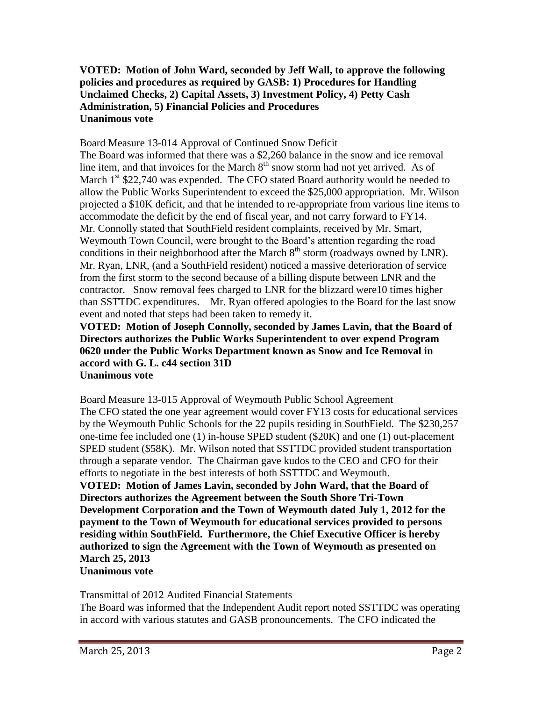## **VOTED: Motion of John Ward, seconded by Jeff Wall, to approve the following policies and procedures as required by GASB: 1) Procedures for Handling Unclaimed Checks, 2) Capital Assets, 3) Investment Policy, 4) Petty Cash Administration, 5) Financial Policies and Procedures Unanimous vote**

Board Measure 13-014 Approval of Continued Snow Deficit

The Board was informed that there was a \$2,260 balance in the snow and ice removal line item, and that invoices for the March  $8<sup>th</sup>$  snow storm had not yet arrived. As of March  $1<sup>st</sup>$  \$22,740 was expended. The CFO stated Board authority would be needed to allow the Public Works Superintendent to exceed the \$25,000 appropriation. Mr. Wilson projected a \$10K deficit, and that he intended to re-appropriate from various line items to accommodate the deficit by the end of fiscal year, and not carry forward to FY14. Mr. Connolly stated that SouthField resident complaints, received by Mr. Smart, Weymouth Town Council, were brought to the Board's attention regarding the road conditions in their neighborhood after the March  $8<sup>th</sup>$  storm (roadways owned by LNR). Mr. Ryan, LNR, (and a SouthField resident) noticed a massive deterioration of service from the first storm to the second because of a billing dispute between LNR and the contractor. Snow removal fees charged to LNR for the blizzard were10 times higher than SSTTDC expenditures. Mr. Ryan offered apologies to the Board for the last snow event and noted that steps had been taken to remedy it.

**VOTED: Motion of Joseph Connolly, seconded by James Lavin, that the Board of Directors authorizes the Public Works Superintendent to over expend Program 0620 under the Public Works Department known as Snow and Ice Removal in accord with G. L. c44 section 31D Unanimous vote**

Board Measure 13-015 Approval of Weymouth Public School Agreement The CFO stated the one year agreement would cover FY13 costs for educational services by the Weymouth Public Schools for the 22 pupils residing in SouthField. The \$230,257 one-time fee included one (1) in-house SPED student (\$20K) and one (1) out-placement SPED student (\$58K). Mr. Wilson noted that SSTTDC provided student transportation through a separate vendor. The Chairman gave kudos to the CEO and CFO for their efforts to negotiate in the best interests of both SSTTDC and Weymouth. **VOTED: Motion of James Lavin, seconded by John Ward, that the Board of Directors authorizes the Agreement between the South Shore Tri-Town Development Corporation and the Town of Weymouth dated July 1, 2012 for the payment to the Town of Weymouth for educational services provided to persons residing within SouthField. Furthermore, the Chief Executive Officer is hereby authorized to sign the Agreement with the Town of Weymouth as presented on March 25, 2013 Unanimous vote**

Transmittal of 2012 Audited Financial Statements The Board was informed that the Independent Audit report noted SSTTDC was operating in accord with various statutes and GASB pronouncements. The CFO indicated the